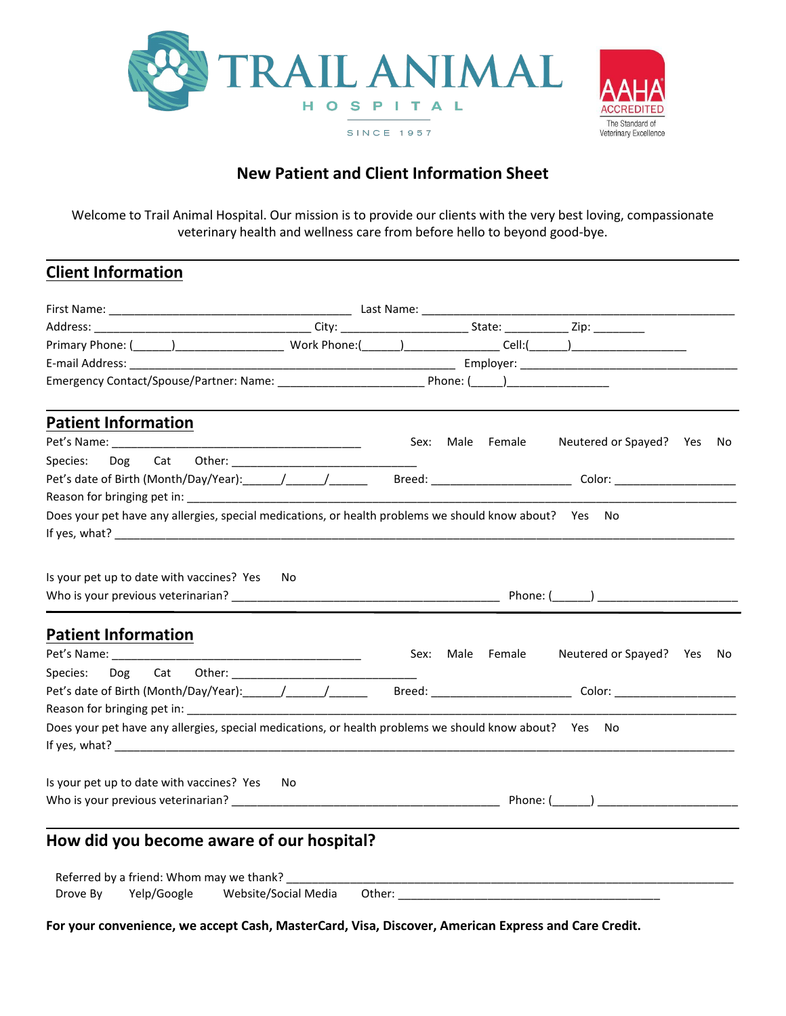

# The Standard of Veterinary Excellence

## **New Patient and Client Information Sheet**

Welcome to Trail Animal Hospital. Our mission is to provide our clients with the very best loving, compassionate veterinary health and wellness care from before hello to beyond good-bye.

# **Client Information**

| Emergency Contact/Spouse/Partner: Name: _________________________________Phone: (_____)______________________<br><b>Patient Information</b><br>Sex: Male Female Neutered or Spayed? Yes No<br>Species:<br>Does your pet have any allergies, special medications, or health problems we should know about? Yes No<br>Is your pet up to date with vaccines? Yes No<br>Who is your previous veterinarian? The contract of the contract of the contract of the contract of the contract of the contract of the contract of the contract of the contract of the contract of the contract of the contrac<br><b>Patient Information</b><br>Sex: Male Female Neutered or Spayed? Yes No |  |
|---------------------------------------------------------------------------------------------------------------------------------------------------------------------------------------------------------------------------------------------------------------------------------------------------------------------------------------------------------------------------------------------------------------------------------------------------------------------------------------------------------------------------------------------------------------------------------------------------------------------------------------------------------------------------------|--|
|                                                                                                                                                                                                                                                                                                                                                                                                                                                                                                                                                                                                                                                                                 |  |
|                                                                                                                                                                                                                                                                                                                                                                                                                                                                                                                                                                                                                                                                                 |  |
|                                                                                                                                                                                                                                                                                                                                                                                                                                                                                                                                                                                                                                                                                 |  |
|                                                                                                                                                                                                                                                                                                                                                                                                                                                                                                                                                                                                                                                                                 |  |
|                                                                                                                                                                                                                                                                                                                                                                                                                                                                                                                                                                                                                                                                                 |  |
|                                                                                                                                                                                                                                                                                                                                                                                                                                                                                                                                                                                                                                                                                 |  |
|                                                                                                                                                                                                                                                                                                                                                                                                                                                                                                                                                                                                                                                                                 |  |
|                                                                                                                                                                                                                                                                                                                                                                                                                                                                                                                                                                                                                                                                                 |  |
|                                                                                                                                                                                                                                                                                                                                                                                                                                                                                                                                                                                                                                                                                 |  |
|                                                                                                                                                                                                                                                                                                                                                                                                                                                                                                                                                                                                                                                                                 |  |
|                                                                                                                                                                                                                                                                                                                                                                                                                                                                                                                                                                                                                                                                                 |  |
|                                                                                                                                                                                                                                                                                                                                                                                                                                                                                                                                                                                                                                                                                 |  |
|                                                                                                                                                                                                                                                                                                                                                                                                                                                                                                                                                                                                                                                                                 |  |
|                                                                                                                                                                                                                                                                                                                                                                                                                                                                                                                                                                                                                                                                                 |  |
| Does your pet have any allergies, special medications, or health problems we should know about? Yes No                                                                                                                                                                                                                                                                                                                                                                                                                                                                                                                                                                          |  |
| Is your pet up to date with vaccines? Yes No                                                                                                                                                                                                                                                                                                                                                                                                                                                                                                                                                                                                                                    |  |
| Who is your previous veterinarian? The process of the contract of the Phone: (Comparison of the contract of the contract of the contract of the contract of the contract of the contract of the contract of the contract of th                                                                                                                                                                                                                                                                                                                                                                                                                                                  |  |

**For your convenience, we accept Cash, MasterCard, Visa, Discover, American Express and Care Credit.**

Drove By Yelp/Google Website/Social Media Other: